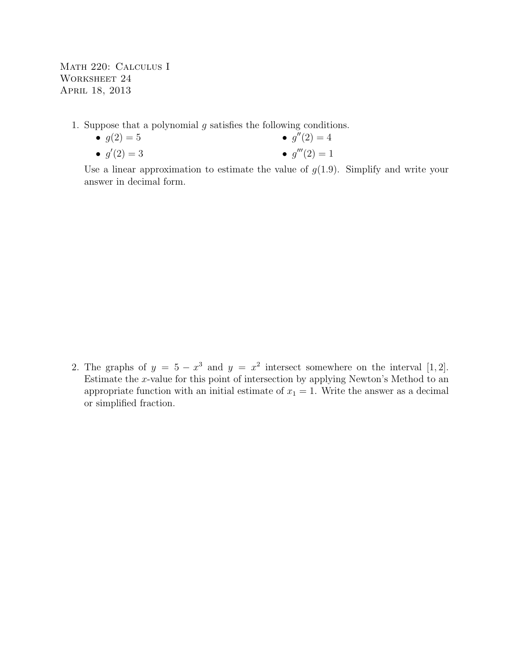Math 220: Calculus I WORKSHEET 24 April 18, 2013

1. Suppose that a polynomial  $g$  satisfies the following conditions.

•  $g(2) = 5$ •  $g'(2) = 3$ •  $g''(2) = 4$ •  $g'''(2) = 1$ 

Use a linear approximation to estimate the value of  $g(1.9)$ . Simplify and write your answer in decimal form.

2. The graphs of  $y = 5 - x^3$  and  $y = x^2$  intersect somewhere on the interval [1, 2]. Estimate the x-value for this point of intersection by applying Newton's Method to an appropriate function with an initial estimate of  $x_1 = 1$ . Write the answer as a decimal or simplified fraction.